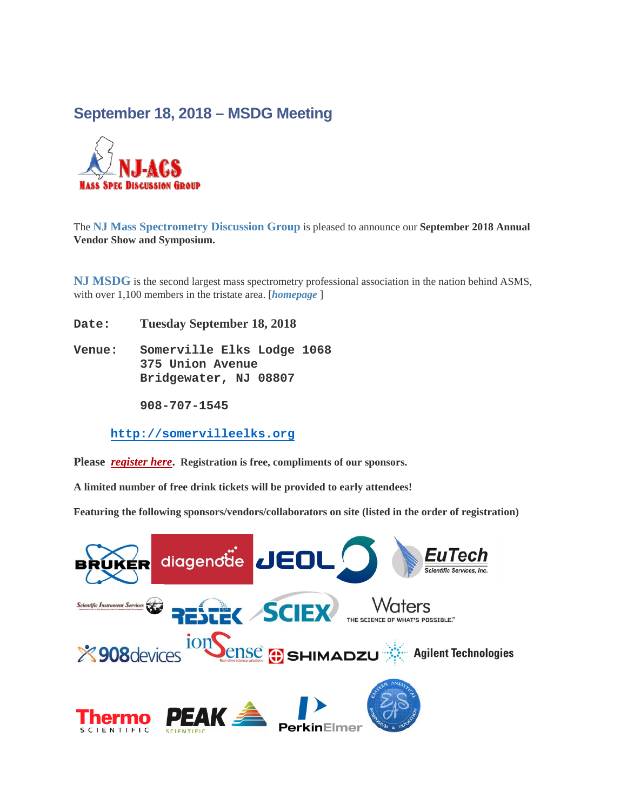## **September 18, 2018 – MSDG Meeting**



The **[NJ Mass Spectrometry Discussion Group](http://www.njacs.org/MSDG)** is pleased to announce our **September 2018 Annual Vendor Show and Symposium.**

**NJ MSDG** is the second largest mass spectrometry professional association in the nation behind ASMS, with over 1,100 members in the tristate area. [*[homepage](http://www.njacs.org/MSDG)* ]

**Date: Tuesday September 18, 2018**

**Venue: Somerville Elks Lodge 1068 375 Union Avenue Bridgewater, NJ 08807**

 **908-707-1545**

**[http://somervilleelks.org](https://www.linkedin.com/e/v2?e=1074cj-jertbu3f-ls&lipi=urn%3Ali%3Apage%3Aemail_group_announcement_message%3BthnCHLOlRPywBXEHF5K5AQ%3D%3D&t=plh&midToken=AQFXgfuCknK3tg&ek=group_announcement_message&urlhash=3Ufh&url=http%3A%2F%2Fsomervilleelks%2Eorg)**

**Please** *[register](http://www.njacs.org/topical-groups/mass-spectrometry/register) here***. Registration is free, compliments of our sponsors.**

**A limited number of free drink tickets will be provided to early attendees!**

**Featuring the following sponsors/vendors/collaborators on site (listed in the order of registration)**

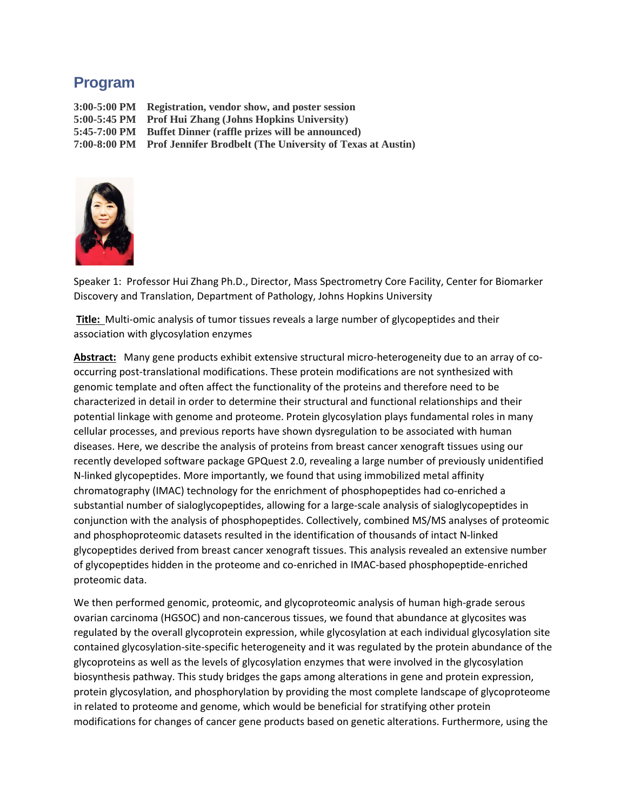## **Program**

**3:00-5:00 PM Registration, vendor show, and poster session 5:00-5:45 PM Prof Hui Zhang (Johns Hopkins University) 5:45-7:00 PM Buffet Dinner (raffle prizes will be announced) 7:00-8:00 PM Prof Jennifer Brodbelt (The University of Texas at Austin)**



Speaker 1: Professor Hui Zhang Ph.D., Director, Mass Spectrometry Core Facility, Center for Biomarker Discovery and Translation, Department of Pathology, Johns Hopkins University

**Title:** Multi-omic analysis of tumor tissues reveals a large number of glycopeptides and their association with glycosylation enzymes

**Abstract:** Many gene products exhibit extensive structural micro-heterogeneity due to an array of cooccurring post-translational modifications. These protein modifications are not synthesized with genomic template and often affect the functionality of the proteins and therefore need to be characterized in detail in order to determine their structural and functional relationships and their potential linkage with genome and proteome. Protein glycosylation plays fundamental roles in many cellular processes, and previous reports have shown dysregulation to be associated with human diseases. Here, we describe the analysis of proteins from breast cancer xenograft tissues using our recently developed software package GPQuest 2.0, revealing a large number of previously unidentified N-linked glycopeptides. More importantly, we found that using immobilized metal affinity chromatography (IMAC) technology for the enrichment of phosphopeptides had co-enriched a substantial number of sialoglycopeptides, allowing for a large-scale analysis of sialoglycopeptides in conjunction with the analysis of phosphopeptides. Collectively, combined MS/MS analyses of proteomic and phosphoproteomic datasets resulted in the identification of thousands of intact N-linked glycopeptides derived from breast cancer xenograft tissues. This analysis revealed an extensive number of glycopeptides hidden in the proteome and co-enriched in IMAC-based phosphopeptide-enriched proteomic data.

We then performed genomic, proteomic, and glycoproteomic analysis of human high-grade serous ovarian carcinoma (HGSOC) and non-cancerous tissues, we found that abundance at glycosites was regulated by the overall glycoprotein expression, while glycosylation at each individual glycosylation site contained glycosylation-site-specific heterogeneity and it was regulated by the protein abundance of the glycoproteins as well as the levels of glycosylation enzymes that were involved in the glycosylation biosynthesis pathway. This study bridges the gaps among alterations in gene and protein expression, protein glycosylation, and phosphorylation by providing the most complete landscape of glycoproteome in related to proteome and genome, which would be beneficial for stratifying other protein modifications for changes of cancer gene products based on genetic alterations. Furthermore, using the